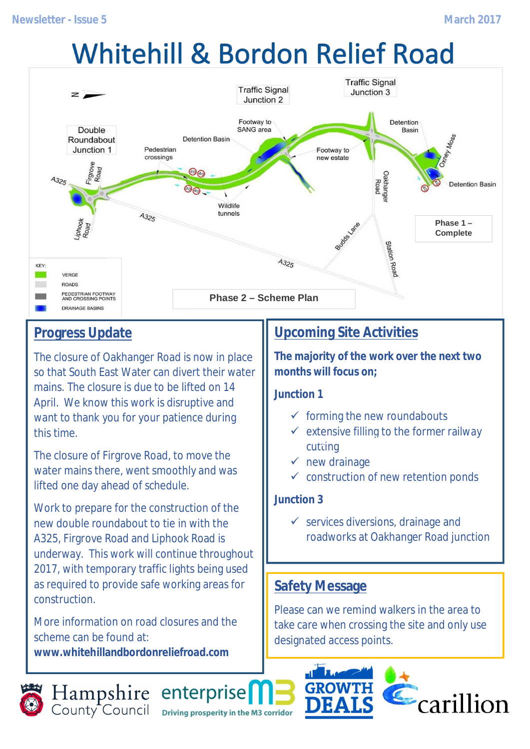# **Whitehill & Bordon Relief Road**



## **Progress Update**

The closure of Oakhanger Road is now in place so that South East Water can divert their water mains. The closure is due to be lifted on 14 April. We know this work is disruptive and want to thank you for your patience during this time.

The closure of Firgrove Road, to move the water mains there, went smoothly and was lifted one day ahead of schedule.

Work to prepare for the construction of the new double roundabout to tie in with the A325, Firgrove Road and Liphook Road is underway. This work will continue throughout 2017, with temporary traffic lights being used as required to provide safe working areas for construction.

More information on road closures and the scheme can be found at: **www.whitehillandbordonreliefroad.com**

# **Upcoming Site Activities**

**The majority of the work over the next two months will focus on;**

**Junction 1**

- $\checkmark$  forming the new roundabouts
- $\checkmark$  extensive filling to the former railway cutting **Filling to former railway cutting near Junction 1**
- $\checkmark$  new drainage
- $\checkmark$  construction of new retention ponds

#### **Junction 3**

 $\checkmark$  services diversions, drainage and roadworks at Oakhanger Road junction

#### **Safety Message**

Please can we remind walkers in the area to take care when crossing the site and only use designated access points.

 $\epsilon$ carillion



Hampshire enterprise Driving prosperity in the M3 corridor